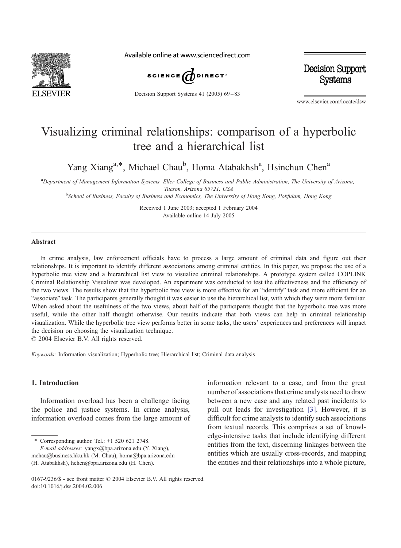

Available online at www.sciencedirect.com



Decision Support Systems 41 (2005) 69-83

Decision Support **Systems** 

www.elsevier.com/locate/dsw

# Visualizing criminal relationships: comparison of a hyperbolic tree and a hierarchical list

Yang Xiang<sup>a,\*</sup>, Michael Chau<sup>b</sup>, Homa Atabakhsh<sup>a</sup>, Hsinchun Chen<sup>a</sup>

a Department of Management Information Systems, Eller College of Business and Public Administration, The University of Arizona, Tucson, Arizona 85721, USA<br><sup>b</sup>School of Business, Faculty of Business and Economics, The University of Hong Kong, Pokfulam, Hong Kong<sup>,</sup>

Received 1 June 2003; accepted 1 February 2004 Available online 14 July 2005

## Abstract

In crime analysis, law enforcement officials have to process a large amount of criminal data and figure out their relationships. It is important to identify different associations among criminal entities. In this paper, we propose the use of a hyperbolic tree view and a hierarchical list view to visualize criminal relationships. A prototype system called COPLINK Criminal Relationship Visualizer was developed. An experiment was conducted to test the effectiveness and the efficiency of the two views. The results show that the hyperbolic tree view is more effective for an "identify" task and more efficient for an "associate" task. The participants generally thought it was easier to use the hierarchical list, with which they were more familiar. When asked about the usefulness of the two views, about half of the participants thought that the hyperbolic tree was more useful, while the other half thought otherwise. Our results indicate that both views can help in criminal relationship visualization. While the hyperbolic tree view performs better in some tasks, the users' experiences and preferences will impact the decision on choosing the visualization technique.

 $© 2004 Elsevier B.V. All rights reserved.$ 

Keywords: Information visualization; Hyperbolic tree; Hierarchical list; Criminal data analysis

## 1. Introduction

Information overload has been a challenge facing the police and justice systems. In crime analysis, information overload comes from the large amount of

\* Corresponding author. Tel.: +1 520 621 2748.

E-mail addresses: yangx@bpa.arizona.edu (Y. Xiang), mchau@business.hku.hk (M. Chau), homa@bpa.arizona.edu (H. Atabakhsh), hchen@bpa.arizona.edu (H. Chen).

information relevant to a case, and from the great number of associations that crime analysts need to draw between a new case and any related past incidents to pull out leads for investigation [\[3\].](#page-13-0) However, it is difficult for crime analysts to identify such associations from textual records. This comprises a set of knowledge-intensive tasks that include identifying different entities from the text, discerning linkages between the entities which are usually cross-records, and mapping the entities and their relationships into a whole picture,

<sup>0167-9236/\$ -</sup> see front matter  $\odot$  2004 Elsevier B.V. All rights reserved. doi:10.1016/j.dss.2004.02.006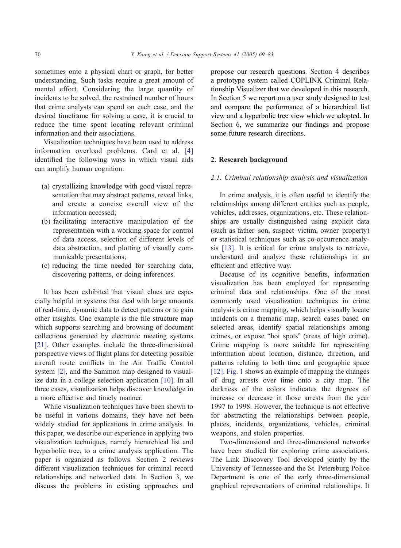sometimes onto a physical chart or graph, for better understanding. Such tasks require a great amount of mental effort. Considering the large quantity of incidents to be solved, the restrained number of hours that crime analysts can spend on each case, and the desired timeframe for solving a case, it is crucial to reduce the time spent locating relevant criminal information and their associations.

Visualization techniques have been used to address information overload problems. Card et al. [\[4\]](#page-13-0) identified the following ways in which visual aids can amplify human cognition:

- (a) crystallizing knowledge with good visual representation that may abstract patterns, reveal links, and create a concise overall view of the information accessed;
- (b) facilitating interactive manipulation of the representation with a working space for control of data access, selection of different levels of data abstraction, and plotting of visually communicable presentations;
- (c) reducing the time needed for searching data, discovering patterns, or doing inferences.

It has been exhibited that visual clues are especially helpful in systems that deal with large amounts of real-time, dynamic data to detect patterns or to gain other insights. One example is the file structure map which supports searching and browsing of document collections generated by electronic meeting systems [\[21\].](#page-13-0) Other examples include the three-dimensional perspective views of flight plans for detecting possible aircraft route conflicts in the Air Traffic Control system [\[2\],](#page-13-0) and the Sammon map designed to visualize data in a college selection application [\[10\].](#page-13-0) In all three cases, visualization helps discover knowledge in a more effective and timely manner.

While visualization techniques have been shown to be useful in various domains, they have not been widely studied for applications in crime analysis. In this paper, we describe our experience in applying two visualization techniques, namely hierarchical list and hyperbolic tree, to a crime analysis application. The paper is organized as follows. Section 2 reviews different visualization techniques for criminal record relationships and networked data. In Section 3, we discuss the problems in existing approaches and

propose our research questions. Section 4 describes a prototype system called COPLINK Criminal Relationship Visualizer that we developed in this research. In Section 5 we report on a user study designed to test and compare the performance of a hierarchical list view and a hyperbolic tree view which we adopted. In Section 6, we summarize our findings and propose some future research directions.

## 2. Research background

#### 2.1. Criminal relationship analysis and visualization

In crime analysis, it is often useful to identify the relationships among different entities such as people, vehicles, addresses, organizations, etc. These relationships are usually distinguished using explicit data (such as father–son, suspect–victim, owner–property) or statistical techniques such as co-occurrence analysis [\[13\].](#page-13-0) It is critical for crime analysts to retrieve, understand and analyze these relationships in an efficient and effective way.

Because of its cognitive benefits, information visualization has been employed for representing criminal data and relationships. One of the most commonly used visualization techniques in crime analysis is crime mapping, which helps visually locate incidents on a thematic map, search cases based on selected areas, identify spatial relationships among crimes, or expose "hot spots" (areas of high crime). Crime mapping is more suitable for representing information about location, distance, direction, and patterns relating to both time and geographic space [\[12\].](#page-13-0) [Fig. 1](#page-2-0) shows an example of mapping the changes of drug arrests over time onto a city map. The darkness of the colors indicates the degrees of increase or decrease in those arrests from the year 1997 to 1998. However, the technique is not effective for abstracting the relationships between people, places, incidents, organizations, vehicles, criminal weapons, and stolen properties.

Two-dimensional and three-dimensional networks have been studied for exploring crime associations. The Link Discovery Tool developed jointly by the University of Tennessee and the St. Petersburg Police Department is one of the early three-dimensional graphical representations of criminal relationships. It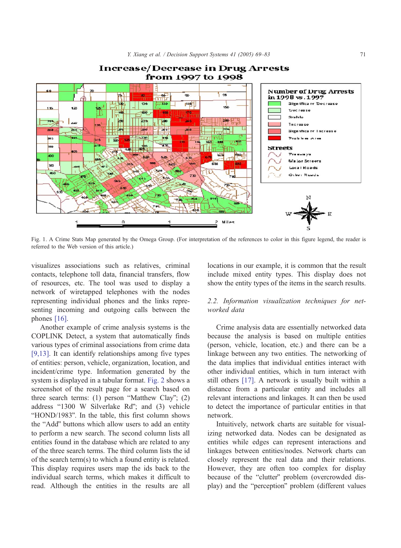<span id="page-2-0"></span>

# **Increase/Decrease in Drug Arrests** from 1997 to 1998

Fig. 1. A Crime Stats Map generated by the Omega Group. (For interpretation of the references to color in this figure legend, the reader is referred to the Web version of this article.)

visualizes associations such as relatives, criminal contacts, telephone toll data, financial transfers, flow of resources, etc. The tool was used to display a network of wiretapped telephones with the nodes representing individual phones and the links representing incoming and outgoing calls between the phones [\[16\].](#page-13-0)

Another example of crime analysis systems is the COPLINK Detect, a system that automatically finds various types of criminal associations from crime data [\[9,13\].](#page-13-0) It can identify relationships among five types of entities: person, vehicle, organization, location, and incident/crime type. Information generated by the system is displayed in a tabular format. [Fig. 2](#page-3-0) shows a screenshot of the result page for a search based on three search terms: (1) person "Matthew Clay"; (2) address "1300 W Silverlake Rd"; and  $(3)$  vehicle "HOND/1983". In the table, this first column shows the "Add" buttons which allow users to add an entity to perform a new search. The second column lists all entities found in the database which are related to any of the three search terms. The third column lists the id of the search term(s) to which a found entity is related. This display requires users map the ids back to the individual search terms, which makes it difficult to read. Although the entities in the results are all locations in our example, it is common that the result include mixed entity types. This display does not show the entity types of the items in the search results.

# 2.2. Information visualization techniques for networked data

Crime analysis data are essentially networked data because the analysis is based on multiple entities (person, vehicle, location, etc.) and there can be a linkage between any two entities. The networking of the data implies that individual entities interact with other individual entities, which in turn interact with still others [\[17\].](#page-13-0) A network is usually built within a distance from a particular entity and includes all relevant interactions and linkages. It can then be used to detect the importance of particular entities in that network.

Intuitively, network charts are suitable for visualizing networked data. Nodes can be designated as entities while edges can represent interactions and linkages between entities/nodes. Network charts can closely represent the real data and their relations. However, they are often too complex for display because of the "clutter" problem (overcrowded display) and the "perception" problem (different values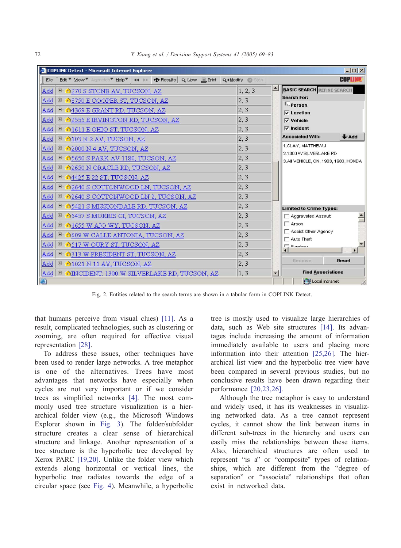<span id="page-3-0"></span>

|      | COPLINK Detect - Microsoft Internet Explorer                               |               | $  D $ $\times$                                  |
|------|----------------------------------------------------------------------------|---------------|--------------------------------------------------|
| Eile | Edit View Agencies Help 44 >> $\bigoplus$ Results Q New El Print Q 4Modify | <b>C</b> Stop | <b>COPLINK</b>                                   |
| Add  | ⊞ ∂270 S STONE AV, TUCSON, AZ                                              | 1, 2, 3       | <b>BASIC SEARCH</b> REFINE SEARCH                |
| Add  | □ <mark>^</mark> 8750 E COOPER ST, TUCSON, AZ                              | 2, 3          | <b>Search For:</b><br><b>L.</b> Person           |
| Add  | □ ∂4369 E GRANT RD, TUCSON, AZ                                             | 2, 3          | $\nabla$ Location                                |
| Add  | □ ♪2555 E IRVINGTON RD, TUCSON, AZ                                         | 2, 3          | $\overline{\vee}$ Vehicle                        |
| Add  | <b>■ ∂1611 E OHIO ST, TUCSON, AZ</b>                                       | 2, 3          | $\overline{\vee}$ Incident                       |
| Add  | $\blacksquare$ $\spadesuit$ 103 N 2 AV, TUCSON, AZ                         | 2, 3          | <b>Associated With:</b><br>$\bigstar$ Add        |
| Add  | <del>□ A</del> 2000 N 4 AV, TUCSON, AZ                                     | 2, 3          | 1.CLAY, MATTHEW J<br>2.1300 W SILVERLAKE RD      |
| Add  | <sup>E</sup> 05650 S PARK AV 1180, TUCSON, AZ                              | 2, 3          | 3.All VEHICLE, ON, 1983, 1983, HONDA             |
| Add  | <sup>E-</sup> ^2650 N ORACLE RD, TUCSON, AZ                                | 2, 3          |                                                  |
| Add  | $\blacksquare$ $\bigcirc$ 4425 E 22 ST, TUCSON, AZ                         | 2, 3          |                                                  |
| Add  | 甲 ��2640 S COTTONWOOD LN, TUCSON, AZ                                       | 2, 3          |                                                  |
| Add  | ⊞ ♪2640 S COTTONWOOD LN 2, TUCSON, AZ                                      | 2, 3          |                                                  |
| Add  | <b>D-A5421 S MISSIONDALE RD, TUCSON, AZ</b>                                | 2, 3          | <b>Limited to Crime Types:</b>                   |
| Add  | <sup>EF</sup> A5457 S MORRIS CI, TUCSON, AZ                                | 2, 3          | Aggravated Assault                               |
| Add  | 甲 ��1655 W AJO WY, TUCSON, AZ                                              | 2, 3          | $\Box$ Arson                                     |
| Add  | <b>IF A609 W CALLE ANTONIA, TUCSON, AZ</b>                                 | 2, 3          | Assist Other Agency<br>□ Auto Theft              |
| Add  | <b>D-A</b> 517 W OURY ST. TUCSON, AZ                                       | 2, 3          | $\Box$ Rundery                                   |
| Add  | ⊞ ♪313 W PRESIDENT ST. TUCSON, AZ                                          | 2, 3          |                                                  |
| Add  | $\blacksquare$ $\spadesuit$ 1021 N 11 AV, TUCSON, AZ                       | 2, 3          | <b>Reset</b><br>Remove                           |
| Add  | <b>E-AINCIDENT: 1300 W SILVERLAKE RD. TUCSON, AZ</b>                       | 1, 3          | <b>Find Associations</b><br>$\blacktriangledown$ |
| 百    |                                                                            |               | Local intranet                                   |

Fig. 2. Entities related to the search terms are shown in a tabular form in COPLINK Detect.

that humans perceive from visual clues) [\[11\].](#page-13-0) As a result, complicated technologies, such as clustering or zooming, are often required for effective visual representation [\[28\].](#page-14-0)

To address these issues, other techniques have been used to render large networks. A tree metaphor is one of the alternatives. Trees have most advantages that networks have especially when cycles are not very important or if we consider trees as simplified networks [\[4\].](#page-13-0) The most commonly used tree structure visualization is a hierarchical folder view (e.g., the Microsoft Windows Explorer shown in [Fig. 3\)](#page-4-0). The folder/subfolder structure creates a clear sense of hierarchical structure and linkage. Another representation of a tree structure is the hyperbolic tree developed by Xerox PARC [\[19,20\].](#page-13-0) Unlike the folder view which extends along horizontal or vertical lines, the hyperbolic tree radiates towards the edge of a circular space (see [Fig. 4\)](#page-5-0). Meanwhile, a hyperbolic tree is mostly used to visualize large hierarchies of data, such as Web site structures [\[14\].](#page-13-0) Its advantages include increasing the amount of information immediately available to users and placing more information into their attention [\[25,26\].](#page-13-0) The hierarchical list view and the hyperbolic tree view have been compared in several previous studies, but no conclusive results have been drawn regarding their performance [\[20,23,26\].](#page-13-0)

Although the tree metaphor is easy to understand and widely used, it has its weaknesses in visualizing networked data. As a tree cannot represent cycles, it cannot show the link between items in different sub-trees in the hierarchy and users can easily miss the relationships between these items. Also, hierarchical structures are often used to represent "is a" or "composite" types of relationships, which are different from the "degree of separation" or "associate" relationships that often exist in networked data.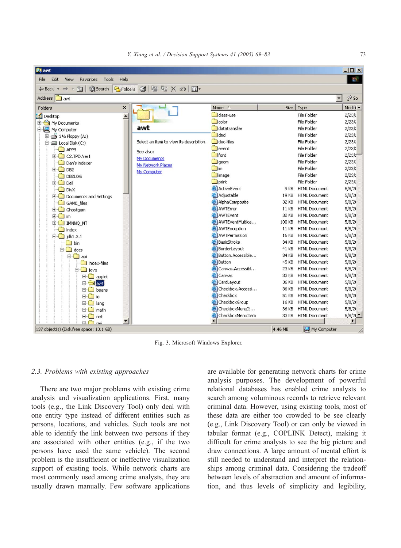<span id="page-4-0"></span>

| <b>EX awt</b>                                                                                                  |                                         |                                       |             |                      | $  \sqrt{2}$                                   |  |  |
|----------------------------------------------------------------------------------------------------------------|-----------------------------------------|---------------------------------------|-------------|----------------------|------------------------------------------------|--|--|
| File<br>Edit<br>Favorites<br>Help<br>View<br>Tools                                                             |                                         |                                       |             |                      |                                                |  |  |
| Search<br>阎<br><b>Folders</b><br>$\circledcirc$<br>$\leftarrow$ Back $\rightarrow$ $\rightarrow$ $\rightarrow$ | 皆な×の<br>国                               |                                       |             |                      |                                                |  |  |
| Address<br>awt                                                                                                 |                                         |                                       |             |                      | $\alpha$ <sub>Go</sub><br>$\blacktriangledown$ |  |  |
| ×<br>Folders                                                                                                   |                                         | Name /                                | <b>Size</b> | Type                 | Modifi A                                       |  |  |
| $\blacktriangle$<br>Desktop                                                                                    |                                         | class-use                             |             | File Folder          | 2/23/2                                         |  |  |
| El My Documents                                                                                                |                                         | color                                 |             | File Folder          | 2/23/3                                         |  |  |
| awt<br>My Computer                                                                                             |                                         | datatransfer                          |             | File Folder          | 2/23/3                                         |  |  |
| 由 3% Floppy (A:)                                                                                               |                                         | dnd                                   |             | File Folder          | 2/23/2                                         |  |  |
| $\Box$ $\Box$ Local Disk (C:)                                                                                  | Select an item to view its description. | doc-files                             |             | File Folder          | 2/23/2                                         |  |  |
| APP <sub>S</sub><br>See also:                                                                                  |                                         | Devent                                |             | File Folder          | 2/23/3                                         |  |  |
| C2.TPD.Ver1<br>田<br>My Documents                                                                               |                                         | <b>T</b> font                         |             | File Folder          | 2/23/7                                         |  |  |
| Dan's indexer<br>My Network Places                                                                             |                                         | geom                                  |             | File Folder          | 2/23/2                                         |  |  |
| 田 DB2                                                                                                          |                                         | <b>l</b> im                           |             | File Folder          | 2/23/2                                         |  |  |
| My Computer<br>DB2LOG                                                                                          |                                         | $\Box$ image                          |             | File Folder          | 2/23/2                                         |  |  |
| Dell<br>田<br>n                                                                                                 |                                         | print                                 |             | File Folder          | 2/23/2                                         |  |  |
| <b>DivX</b>                                                                                                    |                                         | ActiveEvent                           | 9 KB        | <b>HTML Document</b> | 5/8/2(                                         |  |  |
| Documents and Settings<br>田                                                                                    |                                         | <b>Adjustable</b>                     | 19 KB       | <b>HTML Document</b> | 5/8/20                                         |  |  |
| ۰<br><b>GAME</b> files                                                                                         |                                         | <b>AlphaComposite</b>                 | 32 KB       | <b>HTML Document</b> | 5/8/2(                                         |  |  |
| <b>E-C</b> Ghostgum                                                                                            |                                         | <b>B</b> AWTError                     | 11 KB       | <b>HTML Document</b> | 5/8/20                                         |  |  |
| $H - 1$ im                                                                                                     |                                         | <b>B</b> AWTEvent                     | 32 KB       | <b>HTML Document</b> | 5/8/2(                                         |  |  |
| <b>E-C</b> IMNNQ NT                                                                                            |                                         | AWTEventMultica                       | 100 KB      | <b>HTML Document</b> | 5/8/20                                         |  |  |
| $\Box$ index                                                                                                   |                                         | AWTException                          | 11 KB       | <b>HTML Document</b> | 5/8/20                                         |  |  |
| 白 jdk1.3.1                                                                                                     |                                         | <b><i><u>el</u></i></b> AWTPermission | 16 KB       | <b>HTML Document</b> | 5/8/20                                         |  |  |
| $\Box$ bin                                                                                                     |                                         | <b>BasicStroke</b>                    | 34 KB       | <b>HTML Document</b> | 5/8/20                                         |  |  |
| <b>E</b> docs                                                                                                  |                                         | BorderLayout                          | 41 KB       | <b>HTML Document</b> | 5/8/20                                         |  |  |
| <b>D</b> api                                                                                                   |                                         | Button.Accessible                     | 34 KB       | <b>HTML Document</b> | 5/8/20                                         |  |  |
| index-files                                                                                                    |                                         | <b>Button</b>                         | 45 KB       | <b>HTML Document</b> | 5/8/20                                         |  |  |
| □ ava                                                                                                          |                                         | Canvas.Accessibl                      | 23 KB       | <b>HTML Document</b> | 5/8/20                                         |  |  |
| E applet                                                                                                       |                                         | <b><i><u>el</u></i></b> Canvas        | 33 KB       | <b>HTML Document</b> | 5/8/20                                         |  |  |
| E awt                                                                                                          |                                         | CardLayout                            | 36 KB       | <b>HTML Document</b> | 5/8/2(                                         |  |  |
| $\Box$ beans                                                                                                   |                                         | Checkbox.Accessi                      | 36 KB       | <b>HTML Document</b> | 5/8/20                                         |  |  |
| <b>F</b> fic                                                                                                   |                                         | <b>e</b> lCheckbox                    | 51 KB       | <b>HTML Document</b> | 5/8/20                                         |  |  |
| E ang                                                                                                          |                                         | CheckboxGroup                         | 16 KB       | <b>HTML Document</b> | 5/8/20                                         |  |  |
| E math                                                                                                         |                                         | CheckboxMenuIt                        | 36 KB       | <b>HTML Document</b> | 5/8/20                                         |  |  |
| E-Inet                                                                                                         |                                         | @ CheckboxMenuItem                    | 33 KB       | <b>HTML Document</b> | 5/8/2(                                         |  |  |
| $F - T$                                                                                                        |                                         |                                       |             |                      | $\blacktriangleright$                          |  |  |
| 4.46 MB<br>My Computer<br>137 object(s) (Disk free space: 10.1 GB)                                             |                                         |                                       |             |                      |                                                |  |  |

Fig. 3. Microsoft Windows Explorer.

#### 2.3. Problems with existing approaches

There are two major problems with existing crime analysis and visualization applications. First, many tools (e.g., the Link Discovery Tool) only deal with one entity type instead of different entities such as persons, locations, and vehicles. Such tools are not able to identify the link between two persons if they are associated with other entities (e.g., if the two persons have used the same vehicle). The second problem is the insufficient or ineffective visualization support of existing tools. While network charts are most commonly used among crime analysts, they are usually drawn manually. Few software applications are available for generating network charts for crime analysis purposes. The development of powerful relational databases has enabled crime analysts to search among voluminous records to retrieve relevant criminal data. However, using existing tools, most of these data are either too crowded to be see clearly (e.g., Link Discovery Tool) or can only be viewed in tabular format (e.g., COPLINK Detect), making it difficult for crime analysts to see the big picture and draw connections. A large amount of mental effort is still needed to understand and interpret the relationships among criminal data. Considering the tradeoff between levels of abstraction and amount of information, and thus levels of simplicity and legibility,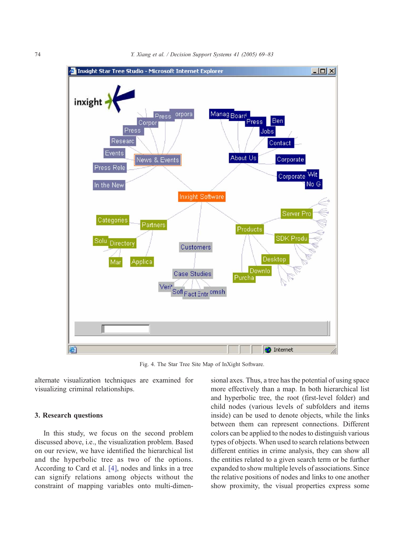<span id="page-5-0"></span>

Fig. 4. The Star Tree Site Map of InXight Software.

alternate visualization techniques are examined for visualizing criminal relationships.

#### 3. Research questions

In this study, we focus on the second problem discussed above, i.e., the visualization problem. Based on our review, we have identified the hierarchical list and the hyperbolic tree as two of the options. According to Card et al. [\[4\],](#page-13-0) nodes and links in a tree can signify relations among objects without the constraint of mapping variables onto multi-dimensional axes. Thus, a tree has the potential of using space more effectively than a map. In both hierarchical list and hyperbolic tree, the root (first-level folder) and child nodes (various levels of subfolders and items inside) can be used to denote objects, while the links between them can represent connections. Different colors can be applied to the nodes to distinguish various types of objects. When used to search relations between different entities in crime analysis, they can show all the entities related to a given search term or be further expanded to show multiple levels of associations. Since the relative positions of nodes and links to one another show proximity, the visual properties express some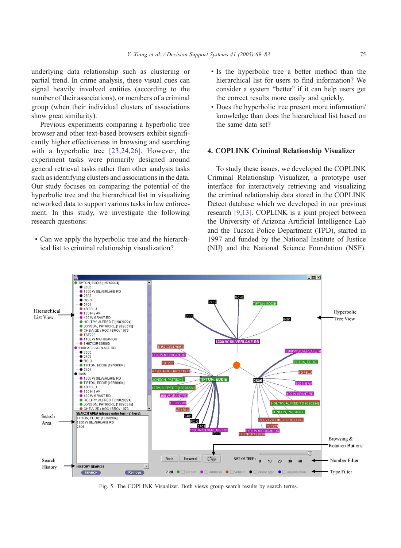<span id="page-6-0"></span>underlying data relationship such as clustering or partial trend. In crime analysis, these visual cues can signal heavily involved entities (according to the number of their associations), or members of a criminal group (when their individual clusters of associations show great similarity).

Previous experiments comparing a hyperbolic tree browser and other text-based browsers exhibit significantly higher effectiveness in browsing and searching with a hyperbolic tree [\[23,24,26\].](#page-13-0) However, the experiment tasks were primarily designed around general retrieval tasks rather than other analysis tasks such as identifying clusters and associations in the data. Our study focuses on comparing the potential of the hyperbolic tree and the hierarchical list in visualizing networked data to support various tasks in law enforcement. In this study, we investigate the following research questions:

! Can we apply the hyperbolic tree and the hierarchical list to criminal relationship visualization?

- ! Is the hyperbolic tree a better method than the hierarchical list for users to find information? We consider a system "better" if it can help users get the correct results more easily and quickly.
- ! Does the hyperbolic tree present more information/ knowledge than does the hierarchical list based on the same data set?

## 4. COPLINK Criminal Relationship Visualizer

To study these issues, we developed the COPLINK Criminal Relationship Visualizer, a prototype user interface for interactively retrieving and visualizing the criminal relationship data stored in the COPLINK Detect database which we developed in our previous research [\[9,13\].](#page-13-0) COPLINK is a joint project between the University of Arizona Artificial Intelligence Lab and the Tucson Police Department (TPD), started in 1997 and funded by the National Institute of Justice (NIJ) and the National Science Foundation (NSF).



Fig. 5. The COPLINK Visualizer. Both views group search results by search terms.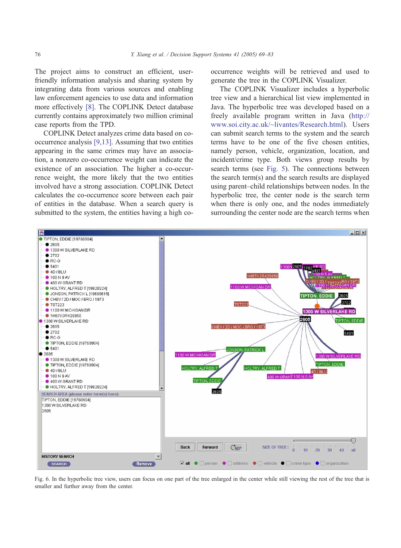<span id="page-7-0"></span>The project aims to construct an efficient, userfriendly information analysis and sharing system by integrating data from various sources and enabling law enforcement agencies to use data and information more effectively [\[8\].](#page-13-0) The COPLINK Detect database currently contains approximately two million criminal case reports from the TPD.

COPLINK Detect analyzes crime data based on cooccurrence analysis [\[9,13\].](#page-13-0) Assuming that two entities appearing in the same crimes may have an association, a nonzero co-occurrence weight can indicate the existence of an association. The higher a co-occurrence weight, the more likely that the two entities involved have a strong association. COPLINK Detect calculates the co-occurrence score between each pair of entities in the database. When a search query is submitted to the system, the entities having a high cooccurrence weights will be retrieved and used to generate the tree in the COPLINK Visualizer.

The COPLINK Visualizer includes a hyperbolic tree view and a hierarchical list view implemented in Java. The hyperbolic tree was developed based on a freely available program written in Java ([http://](http://www.soi.city.ac.uk/~livantes/Research.html) www.soi.city.ac.uk/~livantes/Research.html). Users can submit search terms to the system and the search terms have to be one of the five chosen entities, namely person, vehicle, organization, location, and incident/crime type. Both views group results by search terms (see [Fig. 5\)](#page-6-0). The connections between the search term(s) and the search results are displayed using parent–child relationships between nodes. In the hyperbolic tree, the center node is the search term when there is only one, and the nodes immediately surrounding the center node are the search terms when



Fig. 6. In the hyperbolic tree view, users can focus on one part of the tree enlarged in the center while still viewing the rest of the tree that is smaller and further away from the center.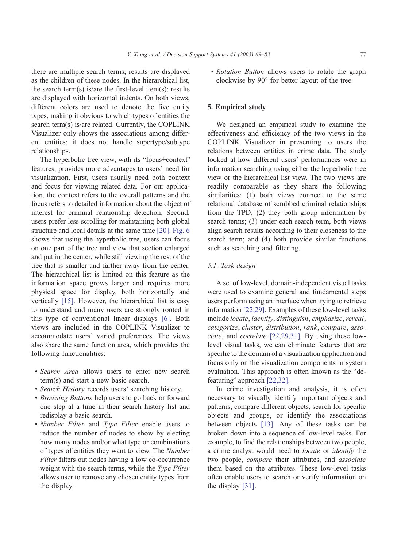there are multiple search terms; results are displayed as the children of these nodes. In the hierarchical list, the search term(s) is/are the first-level item(s); results are displayed with horizontal indents. On both views, different colors are used to denote the five entity types, making it obvious to which types of entities the search term(s) is/are related. Currently, the COPLINK Visualizer only shows the associations among different entities; it does not handle supertype/subtype relationships.

The hyperbolic tree view, with its "focus+context" features, provides more advantages to users' need for visualization. First, users usually need both context and focus for viewing related data. For our application, the context refers to the overall patterns and the focus refers to detailed information about the object of interest for criminal relationship detection. Second, users prefer less scrolling for maintaining both global structure and local details at the same time [\[20\].](#page-13-0) [Fig. 6](#page-7-0) shows that using the hyperbolic tree, users can focus on one part of the tree and view that section enlarged and put in the center, while still viewing the rest of the tree that is smaller and farther away from the center. The hierarchical list is limited on this feature as the information space grows larger and requires more physical space for display, both horizontally and vertically [\[15\].](#page-13-0) However, the hierarchical list is easy to understand and many users are strongly rooted in this type of conventional linear displays [\[6\].](#page-13-0) Both views are included in the COPLINK Visualizer to accommodate users' varied preferences. The views also share the same function area, which provides the following functionalities:

- Search Area allows users to enter new search term(s) and start a new basic search.
- ! Search History records users' searching history.
- Browsing Buttons help users to go back or forward one step at a time in their search history list and redisplay a basic search.
- ! Number Filter and Type Filter enable users to reduce the number of nodes to show by electing how many nodes and/or what type or combinations of types of entities they want to view. The Number Filter filters out nodes having a low co-occurrence weight with the search terms, while the Type Filter allows user to remove any chosen entity types from the display.

! Rotation Button allows users to rotate the graph clockwise by  $90^{\circ}$  for better layout of the tree.

## 5. Empirical study

We designed an empirical study to examine the effectiveness and efficiency of the two views in the COPLINK Visualizer in presenting to users the relations between entities in crime data. The study looked at how different users' performances were in information searching using either the hyperbolic tree view or the hierarchical list view. The two views are readily comparable as they share the following similarities: (1) both views connect to the same relational database of scrubbed criminal relationships from the TPD; (2) they both group information by search terms; (3) under each search term, both views align search results according to their closeness to the search term; and (4) both provide similar functions such as searching and filtering.

#### 5.1. Task design

A set of low-level, domain-independent visual tasks were used to examine general and fundamental steps users perform using an interface when trying to retrieve information [\[22,29\].](#page-13-0) Examples of these low-level tasks include locate, identify, distinguish, emphasize, reveal, categorize, cluster, distribution, rank, compare, associate, and correlate [\[22,29,31\].](#page-13-0) By using these lowlevel visual tasks, we can eliminate features that are specific to the domain of a visualization application and focus only on the visualization components in system evaluation. This approach is often known as the "defeaturing" approach  $[22,32]$ .

In crime investigation and analysis, it is often necessary to visually identify important objects and patterns, compare different objects, search for specific objects and groups, or identify the associations between objects [\[13\].](#page-13-0) Any of these tasks can be broken down into a sequence of low-level tasks. For example, to find the relationships between two people, a crime analyst would need to locate or identify the two people, compare their attributes, and associate them based on the attributes. These low-level tasks often enable users to search or verify information on the display [\[31\].](#page-14-0)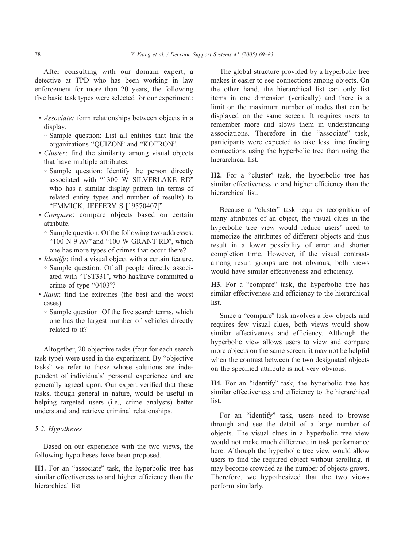After consulting with our domain expert, a detective at TPD who has been working in law enforcement for more than 20 years, the following five basic task types were selected for our experiment:

- *Associate:* form relationships between objects in a display.
	- <sup>o</sup> Sample question: List all entities that link the organizations "OUIZON" and "KOFRON".
- *Cluster*: find the similarity among visual objects that have multiple attributes.
	- <sup>o</sup> Sample question: Identify the person directly associated with "1300 W SILVERLAKE RD" who has a similar display pattern (in terms of related entity types and number of results) to "EMMICK, JEFFERY S [19570407]".
- Compare: compare objects based on certain attribute.
	- <sup>o</sup> Sample question: Of the following two addresses: " $100$  N 9 AV" and " $100$  W GRANT RD", which one has more types of crimes that occur there?
- Identify: find a visual object with a certain feature. <sup>o</sup> Sample question: Of all people directly associ-
- ated with "TST331", who has/have committed a crime of type "0403"?
- Rank: find the extremes (the best and the worst cases).
	- <sup>o</sup> Sample question: Of the five search terms, which one has the largest number of vehicles directly related to it?

Altogether, 20 objective tasks (four for each search task type) were used in the experiment. By "objective tasks" we refer to those whose solutions are independent of individuals' personal experience and are generally agreed upon. Our expert verified that these tasks, though general in nature, would be useful in helping targeted users (i.e., crime analysts) better understand and retrieve criminal relationships.

### 5.2. Hypotheses

Based on our experience with the two views, the following hypotheses have been proposed.

H1. For an "associate" task, the hyperbolic tree has similar effectiveness to and higher efficiency than the hierarchical list.

The global structure provided by a hyperbolic tree makes it easier to see connections among objects. On the other hand, the hierarchical list can only list items in one dimension (vertically) and there is a limit on the maximum number of nodes that can be displayed on the same screen. It requires users to remember more and slows them in understanding associations. Therefore in the "associate" task, participants were expected to take less time finding connections using the hyperbolic tree than using the hierarchical list.

H2. For a "cluster" task, the hyperbolic tree has similar effectiveness to and higher efficiency than the hierarchical list.

Because a "cluster" task requires recognition of many attributes of an object, the visual clues in the hyperbolic tree view would reduce users' need to memorize the attributes of different objects and thus result in a lower possibility of error and shorter completion time. However, if the visual contrasts among result groups are not obvious, both views would have similar effectiveness and efficiency.

H3. For a "compare" task, the hyperbolic tree has similar effectiveness and efficiency to the hierarchical list.

Since a "compare" task involves a few objects and requires few visual clues, both views would show similar effectiveness and efficiency. Although the hyperbolic view allows users to view and compare more objects on the same screen, it may not be helpful when the contrast between the two designated objects on the specified attribute is not very obvious.

H4. For an "identify" task, the hyperbolic tree has similar effectiveness and efficiency to the hierarchical list.

For an "identify" task, users need to browse through and see the detail of a large number of objects. The visual clues in a hyperbolic tree view would not make much difference in task performance here. Although the hyperbolic tree view would allow users to find the required object without scrolling, it may become crowded as the number of objects grows. Therefore, we hypothesized that the two views perform similarly.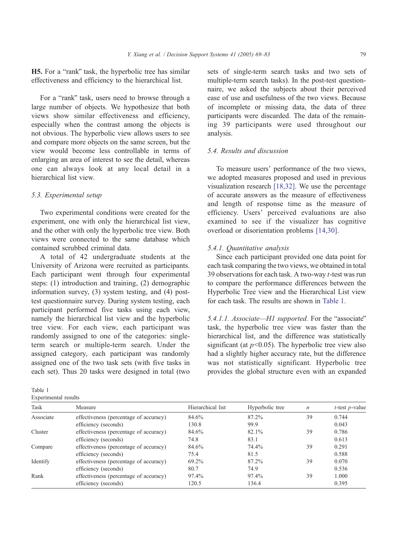H5. For a "rank" task, the hyperbolic tree has similar effectiveness and efficiency to the hierarchical list.

For a "rank" task, users need to browse through a large number of objects. We hypothesize that both views show similar effectiveness and efficiency, especially when the contrast among the objects is not obvious. The hyperbolic view allows users to see and compare more objects on the same screen, but the view would become less controllable in terms of enlarging an area of interest to see the detail, whereas one can always look at any local detail in a hierarchical list view.

# 5.3. Experimental setup

Two experimental conditions were created for the experiment, one with only the hierarchical list view, and the other with only the hyperbolic tree view. Both views were connected to the same database which contained scrubbed criminal data.

A total of 42 undergraduate students at the University of Arizona were recruited as participants. Each participant went through four experimental steps: (1) introduction and training, (2) demographic information survey, (3) system testing, and (4) posttest questionnaire survey. During system testing, each participant performed five tasks using each view, namely the hierarchical list view and the hyperbolic tree view. For each view, each participant was randomly assigned to one of the categories: singleterm search or multiple-term search. Under the assigned category, each participant was randomly assigned one of the two task sets (with five tasks in each set). Thus 20 tasks were designed in total (two

| Table 1 |                      |  |
|---------|----------------------|--|
|         | Experimental results |  |

sets of single-term search tasks and two sets of multiple-term search tasks). In the post-test questionnaire, we asked the subjects about their perceived ease of use and usefulness of the two views. Because of incomplete or missing data, the data of three participants were discarded. The data of the remaining 39 participants were used throughout our analysis.

## 5.4. Results and discussion

To measure users' performance of the two views, we adopted measures proposed and used in previous visualization research [\[18,32\].](#page-13-0) We use the percentage of accurate answers as the measure of effectiveness and length of response time as the measure of efficiency. Users' perceived evaluations are also examined to see if the visualizer has cognitive overload or disorientation problems [\[14,30\].](#page-13-0)

#### 5.4.1. Quantitative analysis

Since each participant provided one data point for each task comparing the two views, we obtained in total 39 observations for each task. A two-way t-test was run to compare the performance differences between the Hyperbolic Tree view and the Hierarchical List view for each task. The results are shown in Table 1.

5.4.1.1. Associate—H1 supported. For the "associate" task, the hyperbolic tree view was faster than the hierarchical list, and the difference was statistically significant (at  $p<0.05$ ). The hyperbolic tree view also had a slightly higher accuracy rate, but the difference was not statistically significant. Hyperbolic tree provides the global structure even with an expanded

| Task      | Measure                                | Hierarchical list | Hyperbolic tree | $\boldsymbol{n}$ | $t$ -test $p$ -value |  |
|-----------|----------------------------------------|-------------------|-----------------|------------------|----------------------|--|
| Associate | effectiveness (percentage of accuracy) | 84.6%             | 87.2%           | 39               | 0.744                |  |
|           | efficiency (seconds)                   | 130.8             | 99.9            |                  | 0.043                |  |
| Cluster   | effectiveness (percentage of accuracy) | 84.6%             | 82.1%           | 39               | 0.786                |  |
|           | efficiency (seconds)                   | 74.8              | 83.1            |                  | 0.613                |  |
| Compare   | effectiveness (percentage of accuracy) | 84.6%             | 74.4%           | 39               | 0.291                |  |
|           | efficiency (seconds)                   | 75.4              | 81.5            |                  | 0.588                |  |
| Identify  | effectiveness (percentage of accuracy) | 69.2%             | 87.2%           | 39               | 0.070                |  |
|           | efficiency (seconds)                   | 80.7              | 74.9            |                  | 0.536                |  |
| Rank      | effectiveness (percentage of accuracy) | 97.4%             | 97.4%           | 39               | 1.000                |  |
|           | efficiency (seconds)                   | 120.5             | 136.4           |                  | 0.395                |  |
|           |                                        |                   |                 |                  |                      |  |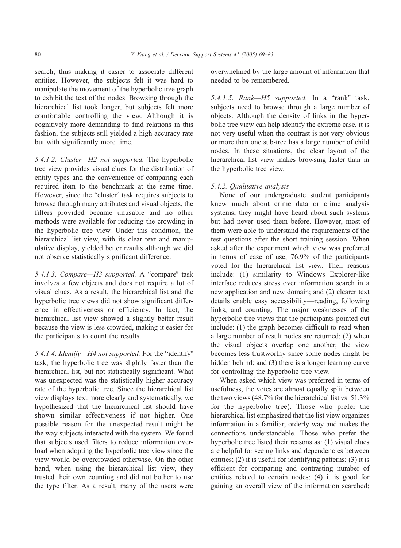search, thus making it easier to associate different entities. However, the subjects felt it was hard to manipulate the movement of the hyperbolic tree graph to exhibit the text of the nodes. Browsing through the hierarchical list took longer, but subjects felt more comfortable controlling the view. Although it is cognitively more demanding to find relations in this fashion, the subjects still yielded a high accuracy rate but with significantly more time.

5.4.1.2. Cluster—H2 not supported. The hyperbolic tree view provides visual clues for the distribution of entity types and the convenience of comparing each required item to the benchmark at the same time. However, since the "cluster" task requires subjects to browse through many attributes and visual objects, the filters provided became unusable and no other methods were available for reducing the crowding in the hyperbolic tree view. Under this condition, the hierarchical list view, with its clear text and manipulative display, yielded better results although we did not observe statistically significant difference.

5.4.1.3. Compare—H3 supported. A "compare" task involves a few objects and does not require a lot of visual clues. As a result, the hierarchical list and the hyperbolic tree views did not show significant difference in effectiveness or efficiency. In fact, the hierarchical list view showed a slightly better result because the view is less crowded, making it easier for the participants to count the results.

5.4.1.4. Identify—H4 not supported. For the "identify" task, the hyperbolic tree was slightly faster than the hierarchical list, but not statistically significant. What was unexpected was the statistically higher accuracy rate of the hyperbolic tree. Since the hierarchical list view displays text more clearly and systematically, we hypothesized that the hierarchical list should have shown similar effectiveness if not higher. One possible reason for the unexpected result might be the way subjects interacted with the system. We found that subjects used filters to reduce information overload when adopting the hyperbolic tree view since the view would be overcrowded otherwise. On the other hand, when using the hierarchical list view, they trusted their own counting and did not bother to use the type filter. As a result, many of the users were overwhelmed by the large amount of information that needed to be remembered.

5.4.1.5. Rank- $H5$  supported. In a "rank" task, subjects need to browse through a large number of objects. Although the density of links in the hyperbolic tree view can help identify the extreme case, it is not very useful when the contrast is not very obvious or more than one sub-tree has a large number of child nodes. In these situations, the clear layout of the hierarchical list view makes browsing faster than in the hyperbolic tree view.

#### 5.4.2. Qualitative analysis

None of our undergraduate student participants knew much about crime data or crime analysis systems; they might have heard about such systems but had never used them before. However, most of them were able to understand the requirements of the test questions after the short training session. When asked after the experiment which view was preferred in terms of ease of use, 76.9% of the participants voted for the hierarchical list view. Their reasons include: (1) similarity to Windows Explorer-like interface reduces stress over information search in a new application and new domain; and (2) clearer text details enable easy accessibility—reading, following links, and counting. The major weaknesses of the hyperbolic tree views that the participants pointed out include: (1) the graph becomes difficult to read when a large number of result nodes are returned; (2) when the visual objects overlap one another, the view becomes less trustworthy since some nodes might be hidden behind; and (3) there is a longer learning curve for controlling the hyperbolic tree view.

When asked which view was preferred in terms of usefulness, the votes are almost equally split between the two views (48.7% for the hierarchical list vs. 51.3% for the hyperbolic tree). Those who prefer the hierarchical list emphasized that the list view organizes information in a familiar, orderly way and makes the connections understandable. Those who prefer the hyperbolic tree listed their reasons as: (1) visual clues are helpful for seeing links and dependencies between entities; (2) it is useful for identifying patterns; (3) it is efficient for comparing and contrasting number of entities related to certain nodes; (4) it is good for gaining an overall view of the information searched;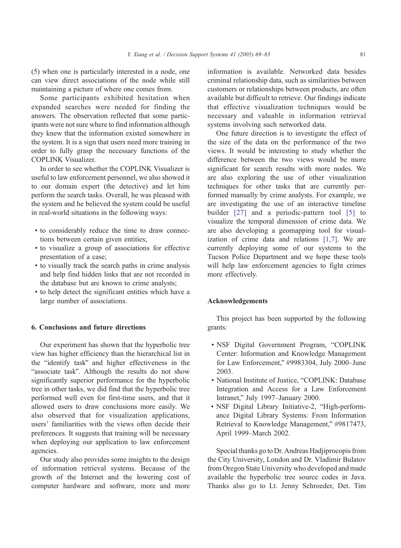(5) when one is particularly interested in a node, one can view direct associations of the node while still maintaining a picture of where one comes from.

Some participants exhibited hesitation when expanded searches were needed for finding the answers. The observation reflected that some participants were not sure where to find information although they knew that the information existed somewhere in the system. It is a sign that users need more training in order to fully grasp the necessary functions of the COPLINK Visualizer.

In order to see whether the COPLINK Visualizer is useful to law enforcement personnel, we also showed it to our domain expert (the detective) and let him perform the search tasks. Overall, he was pleased with the system and he believed the system could be useful in real-world situations in the following ways:

- ! to considerably reduce the time to draw connections between certain given entities;
- ! to visualize a group of associations for effective presentation of a case;
- ! to visually track the search paths in crime analysis and help find hidden links that are not recorded in the database but are known to crime analysts;
- ! to help detect the significant entities which have a large number of associations.

## 6. Conclusions and future directions

Our experiment has shown that the hyperbolic tree view has higher efficiency than the hierarchical list in the "identify task" and higher effectiveness in the "associate task". Although the results do not show significantly superior performance for the hyperbolic tree in other tasks, we did find that the hyperbolic tree performed well even for first-time users, and that it allowed users to draw conclusions more easily. We also observed that for visualization applications, users' familiarities with the views often decide their preferences. It suggests that training will be necessary when deploying our application to law enforcement agencies.

Our study also provides some insights to the design of information retrieval systems. Because of the growth of the Internet and the lowering cost of computer hardware and software, more and more information is available. Networked data besides criminal relationship data, such as similarities between customers or relationships between products, are often available but difficult to retrieve. Our findings indicate that effective visualization techniques would be necessary and valuable in information retrieval systems involving such networked data.

One future direction is to investigate the effect of the size of the data on the performance of the two views. It would be interesting to study whether the difference between the two views would be more significant for search results with more nodes. We are also exploring the use of other visualization techniques for other tasks that are currently performed manually by crime analysts. For example, we are investigating the use of an interactive timeline builder [\[27\]](#page-13-0) and a periodic-pattern tool [\[5\]](#page-13-0) to visualize the temporal dimension of crime data. We are also developing a geomapping tool for visualization of crime data and relations [\[1,7\].](#page-13-0) We are currently deploying some of our systems to the Tucson Police Department and we hope these tools will help law enforcement agencies to fight crimes more effectively.

#### Acknowledgements

This project has been supported by the following grants:

- . NSF Digital Government Program, "COPLINK" Center: Information and Knowledge Management for Law Enforcement," #9983304, July 2000–June 2003.
- National Institute of Justice, "COPLINK: Database Integration and Access for a Law Enforcement Intranet," July 1997–January 2000.
- . NSF Digital Library Initiative-2, "High-performance Digital Library Systems: From Information Retrieval to Knowledge Management," #9817473, April 1999–March 2002.

Special thanks go to Dr. Andreas Hadjiprocopis from the City University, London and Dr. Vladimir Bulatov from Oregon State University who developed and made available the hyperbolic tree source codes in Java. Thanks also go to Lt. Jenny Schroeder, Det. Tim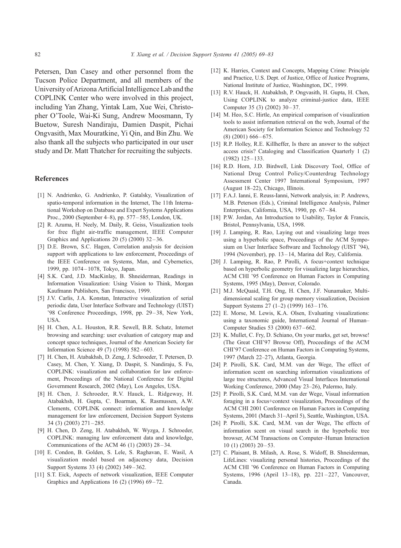<span id="page-13-0"></span>Petersen, Dan Casey and other personnel from the Tucson Police Department, and all members of the University of Arizona Artificial Intelligence Lab and the COPLINK Center who were involved in this project, including Yan Zhang, Yintak Lam, Xue Wei, Christopher O'Toole, Wai-Ki Sung, Andrew Moosmann, Ty Buetow, Suresh Nandiraju, Damien Daspit, Pichai Ongvasith, Max Mouratkine, Yi Qin, and Bin Zhu. We also thank all the subjects who participated in our user study and Dr. Matt Thatcher for recruiting the subjects.

#### References

- [1] N. Andrienko, G. Andrienko, P. Gatalsky, Visualization of spatio-temporal information in the Internet, The 11th International Workshop on Database and Expert Systems Applications Proc., 2000 (September 4–8), pp. 577 – 585, London, UK.
- [2] R. Azuma, H. Neely, M. Daily, R. Geiss, Visualization tools for free flight air-traffic management, IEEE Computer Graphics and Applications 20  $(5)$   $(2000)$  32 – 36.
- [3] D.E. Brown, S.C. Hagen, Correlation analysis for decision support with applications to law enforcement, Proceedings of the IEEE Conference on Systems, Man, and Cybernetics, 1999, pp. 1074 – 1078, Tokyo, Japan.
- [4] S.K. Card, J.D. MacKinlay, B. Shneiderman, Readings in Information Visualization: Using Vision to Think, Morgan Kaufmann Publishers, San Francisco, 1999.
- [5] J.V. Carlis, J.A. Konstan, Interactive visualization of serial periodic data, User Interface Software and Technology (UIST) '98 Conference Proceedings, 1998, pp. 29–38, New York, USA.
- [6] H. Chen, A.L. Houston, R.R. Sewell, B.R. Schatz, Internet browsing and searching: user evaluation of category map and concept space techniques, Journal of the American Society for Information Science 49 (7) (1998) 582 – 603.
- [7] H. Chen, H. Atabakhsh, D. Zeng, J. Schroeder, T. Petersen, D. Casey, M. Chen, Y. Xiang, D. Daspit, S. Nandiraju, S. Fu, COPLINK: visualization and collaboration for law enforcement, Proceedings of the National Conference for Digital Government Research, 2002 (May), Los Angeles, USA.
- [8] H. Chen, J. Schroeder, R.V. Hauck, L. Ridgeway, H. Atabakhsh, H. Gupta, C. Boarman, K. Rasmussen, A.W. Clements, COPLINK connect: information and knowledge management for law enforcement, Decision Support Systems  $34$  (3) (2003) 271 – 285.
- [9] H. Chen, D. Zeng, H. Atabakhsh, W. Wyzga, J. Schroeder, COPLINK: managing law enforcement data and knowledge, Communications of the ACM 46 (1) (2003)  $28-34$ .
- [10] E. Condon, B. Golden, S. Lele, S. Raghavan, E. Wasil, A visualization model based on adjacency data, Decision Support Systems 33 (4) (2002) 349 – 362.
- [11] S.T. Eick, Aspects of network visualization, IEEE Computer Graphics and Applications 16 (2) (1996)  $69-72$ .
- [12] K. Harries, Context and Concepts, Mapping Crime: Principle and Practice, U.S. Dept. of Justice, Office of Justice Programs, National Institute of Justice, Washington, DC, 1999.
- [13] R.V. Hauck, H. Atabakhsh, P. Ongvasith, H. Gupta, H. Chen, Using COPLINK to analyze criminal-justice data, IEEE Computer 35 (3) (2002) 30–37.
- [14] M. Heo, S.C. Hirtle, An empirical comparison of visualization tools to assist information retrieval on the web, Journal of the American Society for Information Science and Technology 52  $(8)$   $(2001)$   $666 - 675$ .
- [15] R.P. Holley, R.E. Killheffer, Is there an answer to the subject access crisis? Cataloging and Classification Quarterly 1 (2)  $(1982)$  125 – 133.
- [16] R.D. Horn, J.D. Birdwell, Link Discovery Tool, Office of National Drug Control Policy/Counterdrug Technology Assessment Center 1997 International Symposium, 1997 (August 18–22), Chicago, Illinois.
- [17] F.A.J. Ianni, E. Reuss-Ianni, Network analysis, in: P. Andrews, M.B. Peterson (Eds.), Criminal Intelligence Analysis, Palmer Enterprises, California, USA, 1990, pp. 67 – 84.
- [18] P.W. Jordan, An Introduction to Usability, Taylor & Francis, Bristol, Pennsylvania, USA, 1998.
- [19] J. Lamping, R. Rao, Laying out and visualizing large trees using a hyperbolic space, Proceedings of the ACM Symposium on User Interface Software and Technology (UIST '94), 1994 (November), pp. 13 – 14, Marina del Rey, California.
- [20] J. Lamping, R. Rao, P. Pirolli, A focus+context technique based on hyperbolic geometry for visualizing large hierarchies, ACM CHI '95 Conference on Human Factors in Computing Systems, 1995 (May), Denver, Colorado.
- [21] M.J. McQuaid, T.H. Ong, H. Chen, J.F. Nunamaker, Multidimensional scaling for group memory visualization, Decision Support Systems 27 (1-2) (1999) 163-176.
- [22] E. Morse, M. Lewis, K.A. Olsen, Evaluating visualizations: using a taxonomic guide, International Journal of Human– Computer Studies 53 (2000) 637 – 662.
- [23] K. Mullet, C. Fry, D. Schiano, On your marks, get set, browse! (The Great CHI'97 Browse Off), Proceedings of the ACM CHI'97 Conference on Human Factors in Computing Systems, 1997 (March 22–27), Atlanta, Georgia.
- [24] P. Pirolli, S.K. Card, M.M. van der Wege, The effect of information scent on searching information visualizations of large tree structures, Advanced Visual Interfaces International Working Conference, 2000 (May 23–26), Palermo, Italy.
- [25] P. Pirolli, S.K. Card, M.M. van der Wege, Visual information foraging in a focus+context visualization, Proceedings of the ACM CHI 2001 Conference on Human Factors in Computing Systems, 2001 (March 31–April 5), Seattle, Washington, USA.
- [26] P. Pirolli, S.K. Card, M.M. van der Wege, The effects of information scent on visual search in the hyperbolic tree browser, ACM Transactions on Computer–Human Interaction  $10(1)(2003)20-53.$
- [27] C. Plaisant, B. Milash, A. Rose, S. Widoff, B. Shneiderman, LifeLines: visualizing personal histories, Proceedings of the ACM CHI '96 Conference on Human Factors in Computing Systems, 1996 (April 13–18), pp. 221 – 227, Vancouver, Canada.